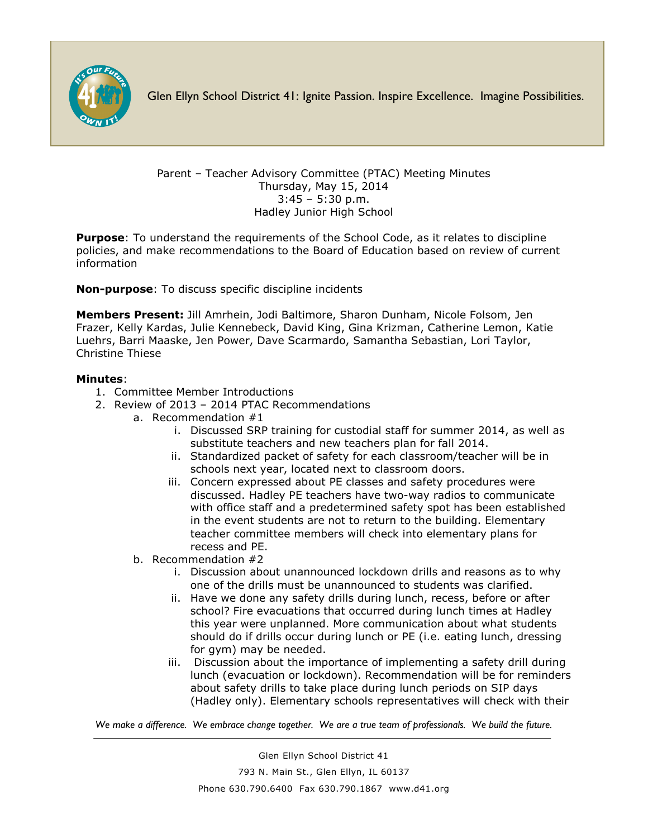

Glen Ellyn School District 41: Ignite Passion. Inspire Excellence. Imagine Possibilities.

Parent – Teacher Advisory Committee (PTAC) Meeting Minutes Thursday, May 15, 2014  $3:45 - 5:30$  p.m. Hadley Junior High School

**Purpose**: To understand the requirements of the School Code, as it relates to discipline policies, and make recommendations to the Board of Education based on review of current information

**Non-purpose**: To discuss specific discipline incidents

**Members Present:** Jill Amrhein, Jodi Baltimore, Sharon Dunham, Nicole Folsom, Jen Frazer, Kelly Kardas, Julie Kennebeck, David King, Gina Krizman, Catherine Lemon, Katie Luehrs, Barri Maaske, Jen Power, Dave Scarmardo, Samantha Sebastian, Lori Taylor, Christine Thiese

## **Minutes**:

- 1. Committee Member Introductions
- 2. Review of 2013 2014 PTAC Recommendations
	- a. Recommendation #1
		- i. Discussed SRP training for custodial staff for summer 2014, as well as substitute teachers and new teachers plan for fall 2014.
		- ii. Standardized packet of safety for each classroom/teacher will be in schools next year, located next to classroom doors.
		- iii. Concern expressed about PE classes and safety procedures were discussed. Hadley PE teachers have two-way radios to communicate with office staff and a predetermined safety spot has been established in the event students are not to return to the building. Elementary teacher committee members will check into elementary plans for recess and PE.
	- b. Recommendation #2
		- i. Discussion about unannounced lockdown drills and reasons as to why one of the drills must be unannounced to students was clarified.
		- ii. Have we done any safety drills during lunch, recess, before or after school? Fire evacuations that occurred during lunch times at Hadley this year were unplanned. More communication about what students should do if drills occur during lunch or PE (i.e. eating lunch, dressing for gym) may be needed.
		- iii. Discussion about the importance of implementing a safety drill during lunch (evacuation or lockdown). Recommendation will be for reminders about safety drills to take place during lunch periods on SIP days (Hadley only). Elementary schools representatives will check with their

*We make a difference. We embrace change together. We are a true team of professionals. We build the future.*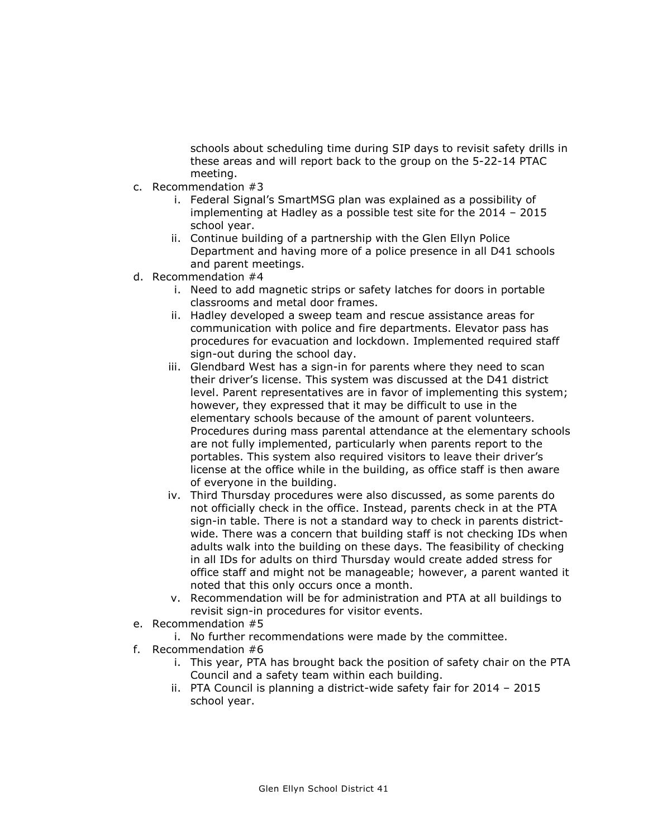schools about scheduling time during SIP days to revisit safety drills in these areas and will report back to the group on the 5-22-14 PTAC meeting.

- c. Recommendation #3
	- i. Federal Signal's SmartMSG plan was explained as a possibility of implementing at Hadley as a possible test site for the 2014 – 2015 school year.
	- ii. Continue building of a partnership with the Glen Ellyn Police Department and having more of a police presence in all D41 schools and parent meetings.
- d. Recommendation #4
	- i. Need to add magnetic strips or safety latches for doors in portable classrooms and metal door frames.
	- ii. Hadley developed a sweep team and rescue assistance areas for communication with police and fire departments. Elevator pass has procedures for evacuation and lockdown. Implemented required staff sign-out during the school day.
	- iii. Glendbard West has a sign-in for parents where they need to scan their driver's license. This system was discussed at the D41 district level. Parent representatives are in favor of implementing this system; however, they expressed that it may be difficult to use in the elementary schools because of the amount of parent volunteers. Procedures during mass parental attendance at the elementary schools are not fully implemented, particularly when parents report to the portables. This system also required visitors to leave their driver's license at the office while in the building, as office staff is then aware of everyone in the building.
	- iv. Third Thursday procedures were also discussed, as some parents do not officially check in the office. Instead, parents check in at the PTA sign-in table. There is not a standard way to check in parents districtwide. There was a concern that building staff is not checking IDs when adults walk into the building on these days. The feasibility of checking in all IDs for adults on third Thursday would create added stress for office staff and might not be manageable; however, a parent wanted it noted that this only occurs once a month.
	- v. Recommendation will be for administration and PTA at all buildings to revisit sign-in procedures for visitor events.
- e. Recommendation #5
	- i. No further recommendations were made by the committee.
- f. Recommendation #6
	- i. This year, PTA has brought back the position of safety chair on the PTA Council and a safety team within each building.
	- ii. PTA Council is planning a district-wide safety fair for 2014 2015 school year.